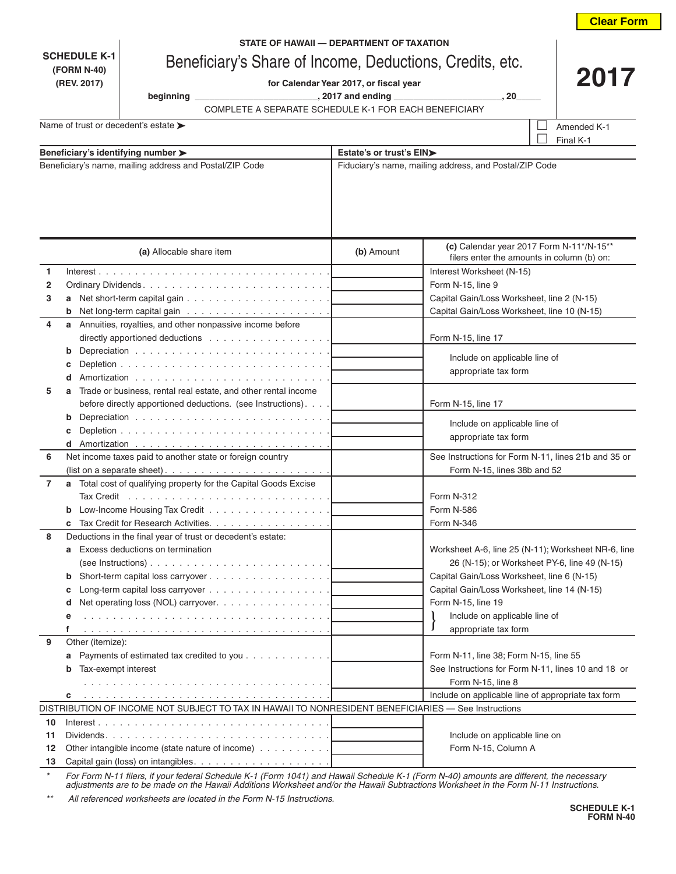# **STATE OF HAWAII — DEPARTMENT OF TAXATION**<br>**SCHEDULE K-1** Dependence of lagama Deplusives of

# SCHEDULE K-1 **Beneficiary's Share of Income, Deductions**, Credits, etc. FORM N-40)<br>(REV. 2017) **contracts**  $\begin{bmatrix} 2017 \\ 2017 \end{bmatrix}$  for Calendar Year 2017, or fiscal year **2017**

**beginning \_\_\_\_\_\_\_\_\_\_\_\_\_\_\_\_\_\_\_\_\_, 2017 and ending \_\_\_\_\_\_\_\_\_\_\_\_\_\_\_\_\_\_\_\_, 20** 

COMPLETE A SEPARATE SCHEDULE K-1 FOR EACH BENEFICIARY

**Clear Form**

Amended K-1

| Name of trust or decedent's estate $\blacktriangleright$ |  |
|----------------------------------------------------------|--|
|----------------------------------------------------------|--|

|                                                         |                                                                                                                                                                                                                                    |                                                        | Final K-1                                                                              |  |
|---------------------------------------------------------|------------------------------------------------------------------------------------------------------------------------------------------------------------------------------------------------------------------------------------|--------------------------------------------------------|----------------------------------------------------------------------------------------|--|
|                                                         | Beneficiary's identifying number >                                                                                                                                                                                                 | Estate's or trust's EIN>                               |                                                                                        |  |
| Beneficiary's name, mailing address and Postal/ZIP Code |                                                                                                                                                                                                                                    | Fiduciary's name, mailing address, and Postal/ZIP Code |                                                                                        |  |
|                                                         |                                                                                                                                                                                                                                    |                                                        |                                                                                        |  |
|                                                         |                                                                                                                                                                                                                                    |                                                        |                                                                                        |  |
|                                                         |                                                                                                                                                                                                                                    |                                                        |                                                                                        |  |
|                                                         |                                                                                                                                                                                                                                    |                                                        |                                                                                        |  |
|                                                         | (a) Allocable share item                                                                                                                                                                                                           | (b) Amount                                             | (c) Calendar year 2017 Form N-11*/N-15**<br>filers enter the amounts in column (b) on: |  |
| 1                                                       |                                                                                                                                                                                                                                    |                                                        | Interest Worksheet (N-15)                                                              |  |
| 2                                                       |                                                                                                                                                                                                                                    |                                                        | Form N-15, line 9                                                                      |  |
| 3                                                       | a                                                                                                                                                                                                                                  |                                                        | Capital Gain/Loss Worksheet, line 2 (N-15)                                             |  |
|                                                         | b                                                                                                                                                                                                                                  |                                                        | Capital Gain/Loss Worksheet, line 10 (N-15)                                            |  |
| 4                                                       | a Annuities, royalties, and other nonpassive income before                                                                                                                                                                         |                                                        |                                                                                        |  |
|                                                         |                                                                                                                                                                                                                                    |                                                        | Form N-15, line 17                                                                     |  |
|                                                         | b                                                                                                                                                                                                                                  |                                                        | Include on applicable line of<br>appropriate tax form                                  |  |
|                                                         | c                                                                                                                                                                                                                                  |                                                        |                                                                                        |  |
|                                                         | d                                                                                                                                                                                                                                  |                                                        |                                                                                        |  |
| 5                                                       | Trade or business, rental real estate, and other rental income<br>a                                                                                                                                                                |                                                        |                                                                                        |  |
|                                                         | before directly apportioned deductions. (see Instructions).                                                                                                                                                                        |                                                        | Form N-15, line 17                                                                     |  |
|                                                         | b                                                                                                                                                                                                                                  |                                                        | Include on applicable line of                                                          |  |
|                                                         | c                                                                                                                                                                                                                                  |                                                        | appropriate tax form                                                                   |  |
|                                                         |                                                                                                                                                                                                                                    |                                                        |                                                                                        |  |
| 6                                                       | Net income taxes paid to another state or foreign country                                                                                                                                                                          |                                                        | See Instructions for Form N-11, lines 21b and 35 or                                    |  |
|                                                         |                                                                                                                                                                                                                                    |                                                        | Form N-15, lines 38b and 52                                                            |  |
| 7                                                       | a Total cost of qualifying property for the Capital Goods Excise                                                                                                                                                                   |                                                        |                                                                                        |  |
|                                                         |                                                                                                                                                                                                                                    |                                                        | Form N-312                                                                             |  |
|                                                         | Low-Income Housing Tax Credit<br>b                                                                                                                                                                                                 |                                                        | Form N-586                                                                             |  |
|                                                         | Tax Credit for Research Activities.<br>c                                                                                                                                                                                           |                                                        | Form N-346                                                                             |  |
| 8                                                       | Deductions in the final year of trust or decedent's estate:                                                                                                                                                                        |                                                        |                                                                                        |  |
|                                                         | Excess deductions on termination<br>a                                                                                                                                                                                              |                                                        | Worksheet A-6, line 25 (N-11); Worksheet NR-6, line                                    |  |
|                                                         |                                                                                                                                                                                                                                    |                                                        | 26 (N-15); or Worksheet PY-6, line 49 (N-15)                                           |  |
|                                                         | b                                                                                                                                                                                                                                  |                                                        | Capital Gain/Loss Worksheet, line 6 (N-15)                                             |  |
|                                                         | c                                                                                                                                                                                                                                  |                                                        | Capital Gain/Loss Worksheet, line 14 (N-15)                                            |  |
|                                                         | Net operating loss (NOL) carryover.<br>d                                                                                                                                                                                           |                                                        | Form N-15, line 19                                                                     |  |
|                                                         | е                                                                                                                                                                                                                                  |                                                        | Include on applicable line of                                                          |  |
|                                                         | f<br>a constitution of the constitution of the constitution of the constitution of the constitution of the constitution of the constitution of the constitution of the constitution of the constitution of the constitution of the |                                                        | appropriate tax form                                                                   |  |
| 9                                                       | Other (itemize):                                                                                                                                                                                                                   |                                                        |                                                                                        |  |
|                                                         | Payments of estimated tax credited to you<br>а                                                                                                                                                                                     |                                                        | Form N-11, line 38; Form N-15, line 55                                                 |  |
|                                                         | Tax-exempt interest<br>b                                                                                                                                                                                                           |                                                        | See Instructions for Form N-11, lines 10 and 18 or                                     |  |
|                                                         |                                                                                                                                                                                                                                    |                                                        | Form N-15, line 8                                                                      |  |
|                                                         | с                                                                                                                                                                                                                                  |                                                        | Include on applicable line of appropriate tax form                                     |  |
|                                                         | DISTRIBUTION OF INCOME NOT SUBJECT TO TAX IN HAWAII TO NONRESIDENT BENEFICIARIES - See Instructions                                                                                                                                |                                                        |                                                                                        |  |
| 10                                                      |                                                                                                                                                                                                                                    |                                                        |                                                                                        |  |
| 11                                                      | $Dividends.$                                                                                                                                                                                                                       |                                                        | Include on applicable line on                                                          |  |
| 12                                                      | Other intangible income (state nature of income)                                                                                                                                                                                   |                                                        | Form N-15, Column A                                                                    |  |
| 13                                                      |                                                                                                                                                                                                                                    |                                                        |                                                                                        |  |

*\* For Form N-11 filers, if your federal Schedule K-1 (Form 1041) and Hawaii Schedule K-1 (Form N-40) amounts are different, the necessary adjustments are to be made on the Hawaii Additions Worksheet and/or the Hawaii Subtractions Worksheet in the Form N-11 Instructions.*

*\*\* All referenced worksheets are located in the Form N-15 Instructions.*